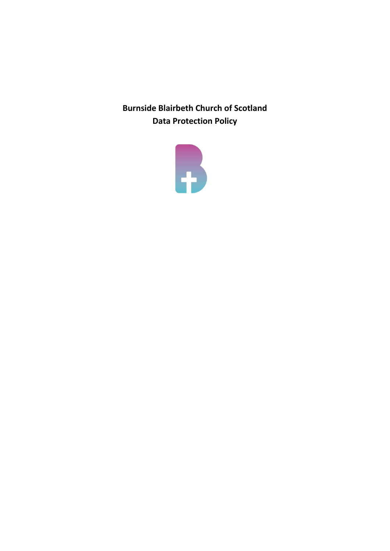**Burnside Blairbeth Church of Scotland Data Protection Policy** 

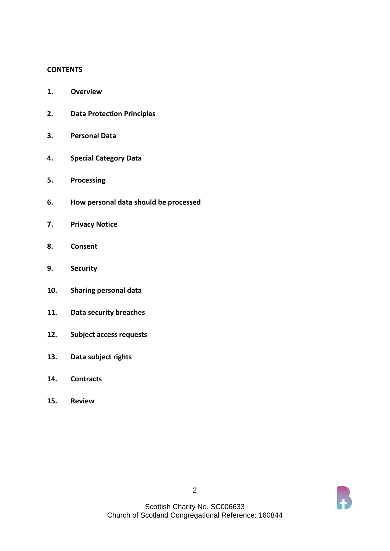#### **CONTENTS**

- **1. Overview**
- **2. Data Protection Principles**
- **3. Personal Data**
- **4. Special Category Data**
- **5. Processing**
- **6. How personal data should be processed**
- **7. Privacy Notice**
- **8. Consent**
- **9. Security**
- **10. Sharing personal data**
- **11. Data security breaches**
- **12. Subject access requests**
- **13. Data subject rights**
- **14. Contracts**
- **15. Review**

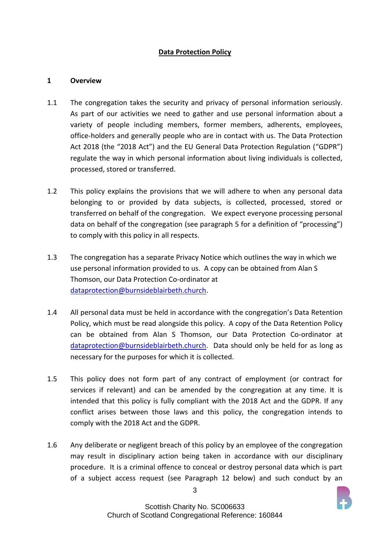## **Data Protection Policy**

### **1 Overview**

- 1.1 The congregation takes the security and privacy of personal information seriously. As part of our activities we need to gather and use personal information about a variety of people including members, former members, adherents, employees, office-holders and generally people who are in contact with us. The Data Protection Act 2018 (the "2018 Act") and the EU General Data Protection Regulation ("GDPR") regulate the way in which personal information about living individuals is collected, processed, stored or transferred.
- 1.2 This policy explains the provisions that we will adhere to when any personal data belonging to or provided by data subjects, is collected, processed, stored or transferred on behalf of the congregation. We expect everyone processing personal data on behalf of the congregation (see paragraph 5 for a definition of "processing") to comply with this policy in all respects.
- 1.3 The congregation has a separate Privacy Notice which outlines the way in which we use personal information provided to us. A copy can be obtained from Alan S Thomson, our Data Protection Co-ordinator at [dataprotection@burnsideblairbeth.church.](mailto:dataprotection@burnsideblairbeth.church)
- 1.4 All personal data must be held in accordance with the congregation's Data Retention Policy, which must be read alongside this policy. A copy of the Data Retention Policy can be obtained from Alan S Thomson, our Data Protection Co-ordinator at [dataprotection@burnsideblairbeth.church.](mailto:dataprotection@burnsideblairbeth.church) Data should only be held for as long as necessary for the purposes for which it is collected.
- 1.5 This policy does not form part of any contract of employment (or contract for services if relevant) and can be amended by the congregation at any time. It is intended that this policy is fully compliant with the 2018 Act and the GDPR. If any conflict arises between those laws and this policy, the congregation intends to comply with the 2018 Act and the GDPR.
- 1.6 Any deliberate or negligent breach of this policy by an employee of the congregation may result in disciplinary action being taken in accordance with our disciplinary procedure. It is a criminal offence to conceal or destroy personal data which is part of a subject access request (see Paragraph 12 below) and such conduct by an

3

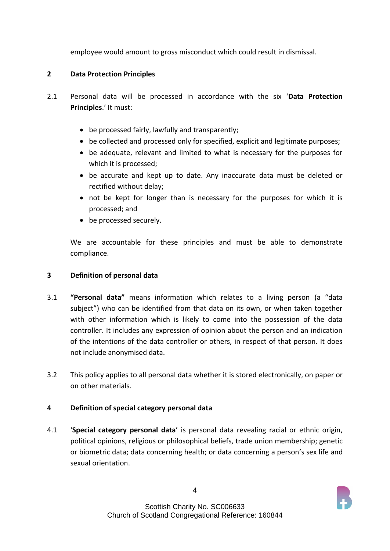employee would amount to gross misconduct which could result in dismissal.

# **2 Data Protection Principles**

- 2.1 Personal data will be processed in accordance with the six '**Data Protection Principles**.' It must:
	- be processed fairly, lawfully and transparently;
	- be collected and processed only for specified, explicit and legitimate purposes;
	- be adequate, relevant and limited to what is necessary for the purposes for which it is processed;
	- be accurate and kept up to date. Any inaccurate data must be deleted or rectified without delay;
	- not be kept for longer than is necessary for the purposes for which it is processed; and
	- be processed securely.

We are accountable for these principles and must be able to demonstrate compliance.

# **3 Definition of personal data**

- 3.1 **"Personal data"** means information which relates to a living person (a "data subject") who can be identified from that data on its own, or when taken together with other information which is likely to come into the possession of the data controller. It includes any expression of opinion about the person and an indication of the intentions of the data controller or others, in respect of that person. It does not include anonymised data.
- 3.2 This policy applies to all personal data whether it is stored electronically, on paper or on other materials.

# **4 Definition of special category personal data**

4.1 '**Special category personal data**' is personal data revealing racial or ethnic origin, political opinions, religious or philosophical beliefs, trade union membership; genetic or biometric data; data concerning health; or data concerning a person's sex life and sexual orientation.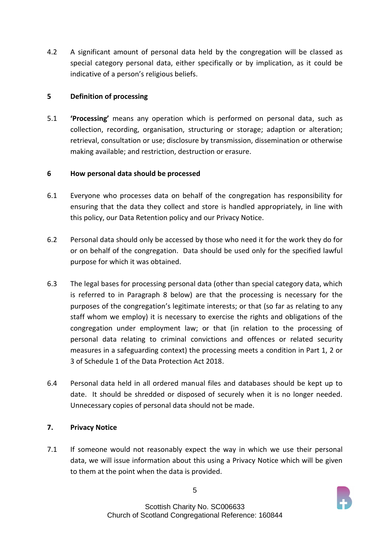4.2 A significant amount of personal data held by the congregation will be classed as special category personal data, either specifically or by implication, as it could be indicative of a person's religious beliefs.

# **5 Definition of processing**

5.1 **'Processing'** means any operation which is performed on personal data, such as collection, recording, organisation, structuring or storage; adaption or alteration; retrieval, consultation or use; disclosure by transmission, dissemination or otherwise making available; and restriction, destruction or erasure.

## **6 How personal data should be processed**

- 6.1 Everyone who processes data on behalf of the congregation has responsibility for ensuring that the data they collect and store is handled appropriately, in line with this policy, our Data Retention policy and our Privacy Notice.
- 6.2 Personal data should only be accessed by those who need it for the work they do for or on behalf of the congregation. Data should be used only for the specified lawful purpose for which it was obtained.
- 6.3 The legal bases for processing personal data (other than special category data, which is referred to in Paragraph 8 below) are that the processing is necessary for the purposes of the congregation's legitimate interests; or that (so far as relating to any staff whom we employ) it is necessary to exercise the rights and obligations of the congregation under employment law; or that (in relation to the processing of personal data relating to criminal convictions and offences or related security measures in a safeguarding context) the processing meets a condition in Part 1, 2 or 3 of Schedule 1 of the Data Protection Act 2018.
- 6.4 Personal data held in all ordered manual files and databases should be kept up to date. It should be shredded or disposed of securely when it is no longer needed. Unnecessary copies of personal data should not be made.

# **7. Privacy Notice**

7.1 If someone would not reasonably expect the way in which we use their personal data, we will issue information about this using a Privacy Notice which will be given to them at the point when the data is provided.

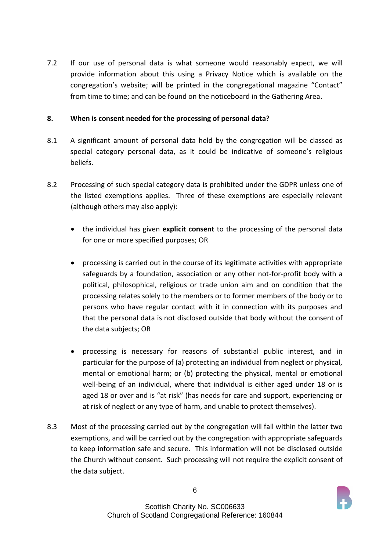7.2 If our use of personal data is what someone would reasonably expect, we will provide information about this using a Privacy Notice which is available on the congregation's website; will be printed in the congregational magazine "Contact" from time to time; and can be found on the noticeboard in the Gathering Area.

### **8. When is consent needed for the processing of personal data?**

- 8.1 A significant amount of personal data held by the congregation will be classed as special category personal data, as it could be indicative of someone's religious beliefs.
- 8.2 Processing of such special category data is prohibited under the GDPR unless one of the listed exemptions applies. Three of these exemptions are especially relevant (although others may also apply):
	- the individual has given **explicit consent** to the processing of the personal data for one or more specified purposes; OR
	- processing is carried out in the course of its legitimate activities with appropriate safeguards by a foundation, association or any other not-for-profit body with a political, philosophical, religious or trade union aim and on condition that the processing relates solely to the members or to former members of the body or to persons who have regular contact with it in connection with its purposes and that the personal data is not disclosed outside that body without the consent of the data subjects; OR
	- processing is necessary for reasons of substantial public interest, and in particular for the purpose of (a) protecting an individual from neglect or physical, mental or emotional harm; or (b) protecting the physical, mental or emotional well-being of an individual, where that individual is either aged under 18 or is aged 18 or over and is "at risk" (has needs for care and support, experiencing or at risk of neglect or any type of harm, and unable to protect themselves).
- 8.3 Most of the processing carried out by the congregation will fall within the latter two exemptions, and will be carried out by the congregation with appropriate safeguards to keep information safe and secure. This information will not be disclosed outside the Church without consent. Such processing will not require the explicit consent of the data subject.

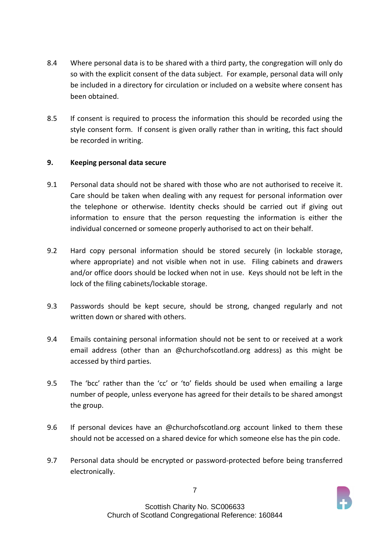- 8.4 Where personal data is to be shared with a third party, the congregation will only do so with the explicit consent of the data subject. For example, personal data will only be included in a directory for circulation or included on a website where consent has been obtained.
- 8.5 If consent is required to process the information this should be recorded using the style consent form. If consent is given orally rather than in writing, this fact should be recorded in writing.

### **9. Keeping personal data secure**

- 9.1 Personal data should not be shared with those who are not authorised to receive it. Care should be taken when dealing with any request for personal information over the telephone or otherwise. Identity checks should be carried out if giving out information to ensure that the person requesting the information is either the individual concerned or someone properly authorised to act on their behalf.
- 9.2 Hard copy personal information should be stored securely (in lockable storage, where appropriate) and not visible when not in use. Filing cabinets and drawers and/or office doors should be locked when not in use. Keys should not be left in the lock of the filing cabinets/lockable storage.
- 9.3 Passwords should be kept secure, should be strong, changed regularly and not written down or shared with others.
- 9.4 Emails containing personal information should not be sent to or received at a work email address (other than an @churchofscotland.org address) as this might be accessed by third parties.
- 9.5 The 'bcc' rather than the 'cc' or 'to' fields should be used when emailing a large number of people, unless everyone has agreed for their details to be shared amongst the group.
- 9.6 If personal devices have an @churchofscotland.org account linked to them these should not be accessed on a shared device for which someone else has the pin code.
- 9.7 Personal data should be encrypted or password-protected before being transferred electronically.

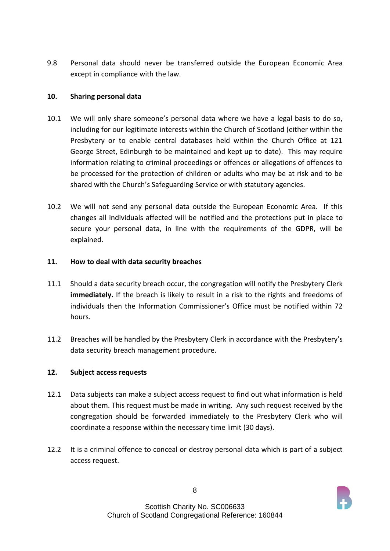9.8 Personal data should never be transferred outside the European Economic Area except in compliance with the law.

# **10. Sharing personal data**

- 10.1 We will only share someone's personal data where we have a legal basis to do so, including for our legitimate interests within the Church of Scotland (either within the Presbytery or to enable central databases held within the Church Office at 121 George Street, Edinburgh to be maintained and kept up to date). This may require information relating to criminal proceedings or offences or allegations of offences to be processed for the protection of children or adults who may be at risk and to be shared with the Church's Safeguarding Service or with statutory agencies.
- 10.2 We will not send any personal data outside the European Economic Area. If this changes all individuals affected will be notified and the protections put in place to secure your personal data, in line with the requirements of the GDPR, will be explained.

## **11. How to deal with data security breaches**

- 11.1 Should a data security breach occur, the congregation will notify the Presbytery Clerk **immediately.** If the breach is likely to result in a risk to the rights and freedoms of individuals then the Information Commissioner's Office must be notified within 72 hours.
- 11.2 Breaches will be handled by the Presbytery Clerk in accordance with the Presbytery's data security breach management procedure.

# **12. Subject access requests**

- 12.1 Data subjects can make a subject access request to find out what information is held about them. This request must be made in writing. Any such request received by the congregation should be forwarded immediately to the Presbytery Clerk who will coordinate a response within the necessary time limit (30 days).
- 12.2 It is a criminal offence to conceal or destroy personal data which is part of a subject access request.